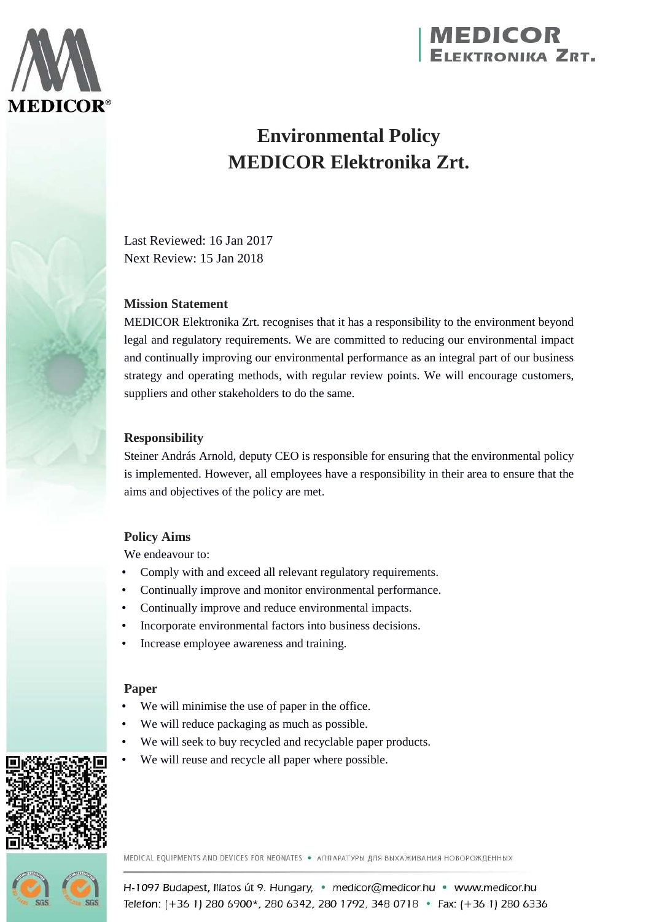

# **MEDICOR**<br>ELEKTRONIKA ZRT.

# **Environmental Policy MEDICOR Elektronika Zrt.**

Last Reviewed: 16 Jan 2017 Next Review: 15 Jan 2018

# **Mission Statement**

MEDICOR Elektronika Zrt. recognises that it has a responsibility to the environment beyond legal and regulatory requirements. We are committed to reducing our environmental impact and continually improving our environmental performance as an integral part of our business strategy and operating methods, with regular review points. We will encourage customers, suppliers and other stakeholders to do the same.

# **Responsibility**

Steiner András Arnold, deputy CEO is responsible for ensuring that the environmental policy is implemented. However, all employees have a responsibility in their area to ensure that the aims and objectives of the policy are met.

# **Policy Aims**

We endeavour to:

- Comply with and exceed all relevant regulatory requirements.
- Continually improve and monitor environmental performance.
- Continually improve and reduce environmental impacts.
- Incorporate environmental factors into business decisions.
- Increase employee awareness and training.

#### **Paper**

- We will minimise the use of paper in the office.
- We will reduce packaging as much as possible.
- We will seek to buy recycled and recyclable paper products.
- We will reuse and recycle all paper where possible.



MEDICAL EQUIPMENTS AND DEVICES FOR NEONATES • АППАРАТУРЫ ДЛЯ ВЫХАЖИВАНИЯ НОВОРОЖДЕННЫХ



H-1097 Budapest, Illatos út 9. Hungary, · medicor@medicor.hu · www.medicor.hu Telefon: (+36 1) 280 6900\*, 280 6342, 280 1792, 348 0718 · Fax: (+36 1) 280 6336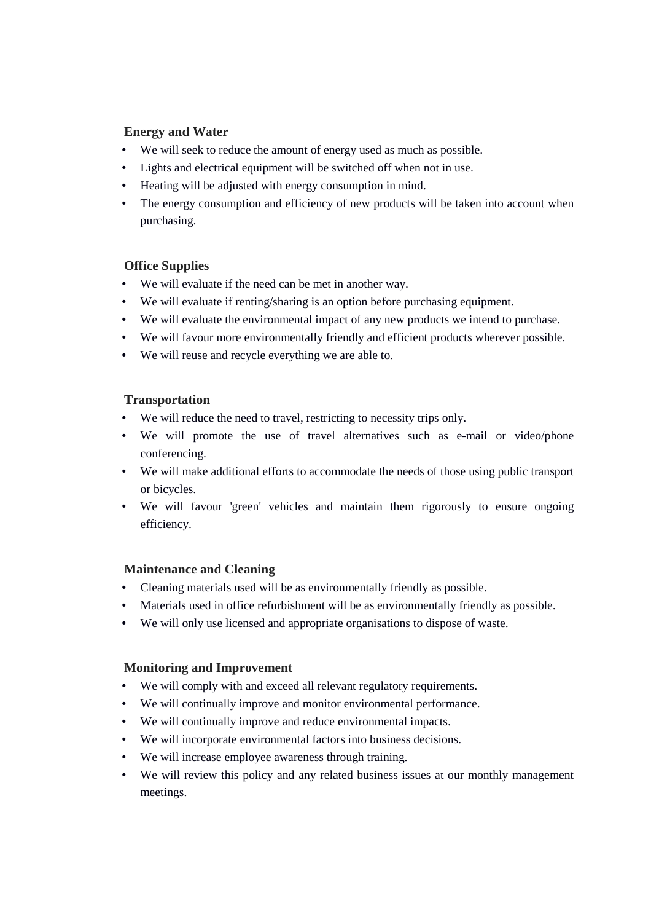#### **Energy and Water**

- We will seek to reduce the amount of energy used as much as possible.
- Lights and electrical equipment will be switched off when not in use.
- Heating will be adjusted with energy consumption in mind.
- The energy consumption and efficiency of new products will be taken into account when purchasing.

#### **Office Supplies**

- We will evaluate if the need can be met in another way.
- We will evaluate if renting/sharing is an option before purchasing equipment.
- We will evaluate the environmental impact of any new products we intend to purchase.
- We will favour more environmentally friendly and efficient products wherever possible.
- We will reuse and recycle everything we are able to.

#### **Transportation**

- We will reduce the need to travel, restricting to necessity trips only.
- We will promote the use of travel alternatives such as e-mail or video/phone conferencing.
- We will make additional efforts to accommodate the needs of those using public transport or bicycles.
- We will favour 'green' vehicles and maintain them rigorously to ensure ongoing efficiency.

#### **Maintenance and Cleaning**

- Cleaning materials used will be as environmentally friendly as possible.
- Materials used in office refurbishment will be as environmentally friendly as possible.
- We will only use licensed and appropriate organisations to dispose of waste.

#### **Monitoring and Improvement**

- We will comply with and exceed all relevant regulatory requirements.
- We will continually improve and monitor environmental performance.
- We will continually improve and reduce environmental impacts.
- We will incorporate environmental factors into business decisions.
- We will increase employee awareness through training.
- We will review this policy and any related business issues at our monthly management meetings.